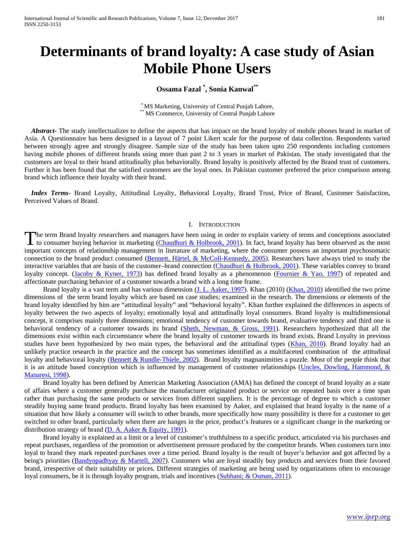# **Determinants of brand loyalty: A case study of Asian Mobile Phone Users**

# **Ossama Fazal \* , Sonia Kanwal\*\***

\* MS Marketing, University of Central Punjab Lahore, \*\* MS Commerce, University of Central Punjab Lahore

 *Abstract***-** The study intellectualizes to define the aspects that has impact on the brand loyalty of mobile phones brand in market of Asia. A Questionnaire has been designed in a layout of 7 point Likert scale for the purpose of data collection. Respondents varied between strongly agree and strongly disagree. Sample size of the study has been taken upto 250 respondents including customers having mobile phones of different brands using more than past 2 to 3 years in market of Pakistan. The study investigated that the customers are loyal to their brand attitudinally plus behaviorally. Brand loyalty is positively affected by the Brand trust of customers. Further it has been found that the satisfied customers are the loyal ones. In Pakistan customer preferred the price comparison among brand which influence their loyalty with their brand.

 *Index Terms*- Brand Loyalty, Attitudinal Loyalty, Behavioral Loyalty, Brand Trust, Price of Brand, Customer Satisfaction, Perceived Values of Brand.

#### I. INTRODUCTION

The term Brand loyalty researchers and managers have been using in order to explain variety of terms and conceptions associated The term Brand loyalty researchers and managers have been using in order to explain variety of terms and conceptions associated<br>to consumer buying behavior in marketing (Chaudhuri & Holbrook, 2001). In fact, brand loyalty important concepts of relationship management in literature of marketing, where the consumer possess an important psychosomatic connection to the brand product consumed (Bennett, Härtel, & McColl-Kennedy, 2005). Researchers have always tried to study the interactive variables that are basis of the customer–brand connection (Chaudhuri & Holbrook, 2001). These variables convey to brand loyalty concept. (Jacoby & Kyner, 1973) has defined brand loyalty as a phenomenon (Fournier & Yao, 1997) of repeated and affectionate purchasing behavior of a customer towards a brand with a long time frame.

Brand loyalty is a vast term and has various dimension (J. L. Aaker, 1997). Khan (2010) (Khan, 2010) identified the two prime dimensions of the term brand loyalty which are based on case studies; examined in the research. The dimensions or elements of the brand loyalty identified by him are "attitudinal loyalty" and "behavioral loyalty". Khan further explained the differences in aspects of loyalty between the two aspects of loyalty; emotionally loyal and attitudinally loyal consumers. Brand loyalty is multidimensional concept, it comprises mainly three dimensions; emotional tendency of customer towards brand, evaluative tendency and third one is behavioral tendency of a customer towards its brand (Sheth, Newman, & Gross, 1991). Researchers hypothesized that all the dimensions exist within each circumstance where the brand loyalty of customer towards its brand exists. Brand Loyalty in previous studies have been hypothesized by two main types, the behavioral and the attitudinal types (Khan, 2010). Brand loyalty had an unlikely practice research in the practice and the concept has sometimes identified as a multifaceted combination of the attitudinal loyalty and behavioral loyalty (Bennett & Rundle-Thiele, 2002). Brand loyalty magnanimities a puzzle. Most of the people think that it is an attitude based conception which is influenced by management of customer relationships (Uncles, Dowling, Hammond, & Manaresi, 1998).

 Brand loyalty has been defined by American Marketing Association (AMA) has defined the concept of brand loyalty as a state of affairs where a customer generally purchase the manufacturer originated product or service on repeated basis over a time span rather than purchasing the same products or services from different suppliers. It is the percentage of degree to which a customer steadily buying same brand products. Brand loyalty has been examined by Aaker, and explained that brand loyalty is the name of a situation that how likely a consumer will switch to other brands, more specifically how many possibility is there for a customer to get switched to other brand, particularly when there are hanges in the price, product's features or a significant change in the marketing or distribution strategy of brand (D. A. Aaker & Equity, 1991).

 Brand loyalty is explained as a limit or a level of customer's truthfulness to a specific product, articulated via his purchases and repeat purchases, regardless of the promotion or advertisement pressure produced by the competitor brands. When customers turn into loyal to brand they mark repeated purchases over a time period. Brand loyalty is the result of buyer's behavior and got affected by a being's priorities (Bandyopadhyay & Martell, 2007). Customers who are loyal steadily buy products and services from their favored brand, irrespective of their suitability or prices. Different strategies of marketing are being used by organizations often to encourage loyal consumers, be it is through loyalty program, trials and incentives (Subhani; & Osman, 2011).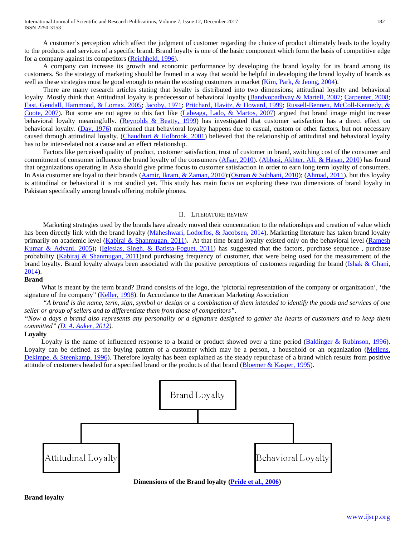A customer's perception which affect the judgment of customer regarding the choice of product ultimately leads to the loyalty to the products and services of a specific brand. Brand loyalty is one of the basic component which form the basis of competitive edge for a company against its competitors (Reichheld, 1996).

 A company can increase its growth and economic performance by developing the brand loyalty for its brand among its customers. So the strategy of marketing should be framed in a way that would be helpful in developing the brand loyalty of brands as well as these strategies must be good enough to retain the existing customers in market (Kim, Park, & Jeong, 2004).

 There are many research articles stating that loyalty is distributed into two dimensions; attitudinal loyalty and behavioral loyalty. Mostly think that Attitudinal loyalty is predecessor of behavioral loyalty (Bandyopadhyay & Martell, 2007; Carpenter, 2008; East, Gendall, Hammond, & Lomax, 2005; Jacoby, 1971; Pritchard, Havitz, & Howard, 1999; Russell-Bennett, McColl-Kennedy, & Coote, 2007). But some are not agree to this fact like (Labeaga, Lado, & Martos, 2007) argued that brand image might increase behavioral loyalty meaningfully. (Reynolds & Beatty, 1999) has investigated that customer satisfaction has a direct effect on behavioral loyalty. (Day, 1976) mentioned that behavioral loyalty happens due to casual, custom or other factors, but not necessary caused through attitudinal loyalty. (Chaudhuri & Holbrook, 2001) believed that the relationship of attitudinal and behavioral loyalty has to be inter-related not a cause and an effect relationship.

 Factors like perceived quality of product, customer satisfaction, trust of customer in brand, switching cost of the consumer and commitment of consumer influence the brand loyalty of the consumers (Afsar, 2010). (Abbasi, Akhter, Ali, & Hasan, 2010) has found that organizations operating in Asia should give prime focus to customer satisfaction in order to earn long term loyalty of consumers. In Asia customer are loyal to their brands (Aamir, Ikram, & Zaman, 2010);(Osman & Subhani, 2010); (Ahmad, 2011), but this loyalty is attitudinal or behavioral it is not studied yet. This study has main focus on exploring these two dimensions of brand loyalty in Pakistan specifically among brands offering mobile phones.

#### II. LITERATURE REVIEW

 Marketing strategies used by the brands have already moved their concentration to the relationships and creation of value which has been directly link with the brand loyalty (Maheshwari, Lodorfos, & Jacobsen, 2014). Marketing literature has taken brand loyalty primarily on academic level (Kabiraj & Shanmugan, 2011)*.* At that time brand loyalty existed only on the behavioral level (Ramesh Kumar & Advani, 2005)**;** (Iglesias, Singh, & Batista-Foguet, 2011) has suggested that the factors, purchase sequence , purchase probability (Kabiraj & Shanmugan, 2011)and purchasing frequency of customer, that were being used for the measurement of the brand loyalty. Brand loyalty always been associated with the positive perceptions of customers regarding the brand (Ishak & Ghani, 2014).

#### **Brand**

 What is meant by the term brand? Brand consists of the logo, the 'pictorial representation of the company or organization', 'the signature of the company" (Keller, 1998). In Accordance to the American Marketing Association

 *"A brand is the name, term, sign, symbol or design or a combination of them intended to identify the goods and services of one seller or group of sellers and to differentiate them from those of competitors".* 

*"Now a days a brand also represents any personality or a signature designed to gather the hearts of customers and to keep them committed" (D. A. Aaker, 2012).*

#### **Loyalty**

Loyalty is the name of influenced response to a brand or product showed over a time period (Baldinger & Rubinson, 1996). Loyalty can be defined as the buying pattern of a customer which may be a person, a household or an organization (Mellens, Dekimpe, & Steenkamp, 1996). Therefore loyalty has been explained as the steady repurchase of a brand which results from positive attitude of customers headed for a specified brand or the products of that brand (Bloemer & Kasper, 1995).



#### **Dimensions of the Brand loyalty (Pride et al., 2006)**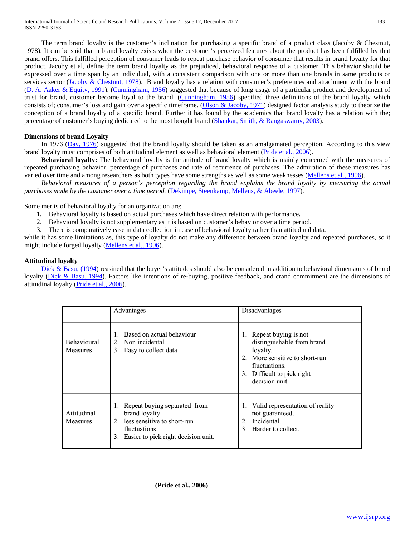The term brand loyalty is the customer's inclination for purchasing a specific brand of a product class (Jacoby & Chestnut, 1978). It can be said that a brand loyalty exists when the customer's perceived features about the product has been fulfilled by that brand offers. This fulfilled perception of consumer leads to repeat purchase behavior of consumer that results in brand loyalty for that product. Jacoby et al, define the term brand loyalty as the prejudiced, behavioral response of a customer. This behavior should be expressed over a time span by an individual, with a consistent comparison with one or more than one brands in same products or services sector (Jacoby & Chestnut, 1978). Brand loyalty has a relation with consumer's preferences and attachment with the brand (D. A. Aaker & Equity, 1991). (Cunningham, 1956) suggested that because of long usage of a particular product and development of trust for brand, customer become loyal to the brand. (Cunningham, 1956) specified three definitions of the brand loyalty which consists of; consumer's loss and gain over a specific timeframe. (Olson & Jacoby, 1971) designed factor analysis study to theorize the conception of a brand loyalty of a specific brand. Further it has found by the academics that brand loyalty has a relation with the; percentage of customer's buying dedicated to the most bought brand (Shankar, Smith, & Rangaswamy, 2003).

#### **Dimensions of brand Loyalty**

In 1976 (Day, 1976) suggested that the brand loyalty should be taken as an amalgamated perception. According to this view brand loyalty must comprises of both attitudinal element as well as behavioral element (Pride et al., 2006).

 **Behavioral loyalty:** The behavioral loyalty is the attitude of brand loyalty which is mainly concerned with the measures of repeated purchasing behavior, percentage of purchases and rate of recurrence of purchases. The admiration of these measures has varied over time and among researchers as both types have some strengths as well as some weaknesses (Mellens et al., 1996).

 *Behavioral measures of a person's perception regarding the brand explains the brand loyalty by measuring the actual purchases made by the customer over a time period.* (Dekimpe, Steenkamp, Mellens, & Abeele, 1997).

Some merits of behavioral loyalty for an organization are;

- 1. Behavioral loyalty is based on actual purchases which have direct relation with performance.
- 2. Behavioral loyalty is not supplementary as it is based on customer's behavior over a time period.
- 3. There is comparatively ease in data collection in case of behavioral loyalty rather than attitudinal data.

while it has some limitations as, this type of loyalty do not make any difference between brand loyalty and repeated purchases, so it might include forged loyalty (Mellens et al., 1996).

#### **Attitudinal loyalty**

Dick & Basu, (1994) reasined that the buyer's attitudes should also be considered in addition to behavioral dimensions of brand loyalty (Dick & Basu, 1994). Factors like intentions of re-buying, positive feedback, and crand commitment are the dimensions of attitudinal loyalty (Pride et al., 2006).

|                                       | Advantages                                                                                                                                                    | Disadvantages                                                                                                                                                        |
|---------------------------------------|---------------------------------------------------------------------------------------------------------------------------------------------------------------|----------------------------------------------------------------------------------------------------------------------------------------------------------------------|
| <b>Behavioural</b><br><b>Measures</b> | Based on actual behaviour<br>Non incidental<br>3. Easy to collect data                                                                                        | 1. Repeat buying is not<br>distinguishable from brand<br>loyalty.<br>2. More sensitive to short-run<br>fluctuations.<br>3. Difficult to pick right<br>decision unit. |
| Attitudinal<br><b>Measures</b>        | 1. Repeat buying separated from<br>brand loyalty.<br>less sensitive to short-run<br>$2^{\circ}$<br>fluctuations.<br>Easier to pick right decision unit.<br>3. | 1. Valid representation of reality<br>not guaranteed.<br>Incidental.<br>$2^{\circ}$<br>3. Harder to collect.                                                         |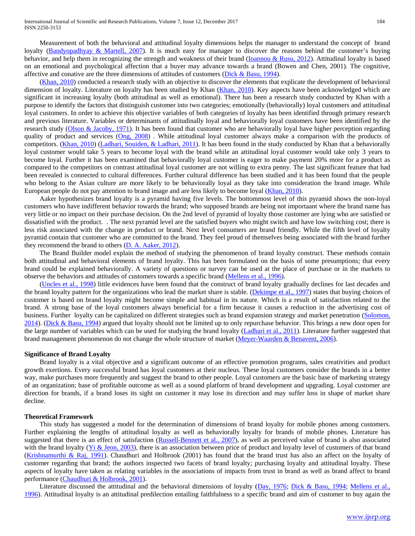Measurement of both the behavioral and attitudinal loyalty dimensions helps the manager to understand the concept of brand loyalty (Bandyopadhyay & Martell, 2007). It is much easy for manager to discover the reasons behind the customer's buying behavior, and help them in recognizing the strength and weakness of their brand (Ioannou & Rusu, 2012). Attitudinal loyalty is based on an emotional and psychological affection that a buyer may advance towards a brand (Bowen and Chen, 2001). The cognitive, affective and conative are the three dimensions of attitudes of customers (Dick & Basu, 1994).

 (Khan, 2010) conducted a research study with an objective to discover the elements that explicate the development of behavioral dimension of loyalty. Literature on loyalty has been studied by Khan (Khan, 2010). Key aspects have been acknowledged which are significant in increasing loyalty (both attitudinal as well as emotional). There has been a research study conducted by Khan with a purpose to identify the factors that distinguish customer into two categories; emotionally (behaviorally) loyal customers and attitudinal loyal customers. In order to achieve this objective variables of both categories of loyalty has been identified through primary research and previous literature. Variables or determinants of attitudinally loyal and behaviorally loyal customers have been identified by the research study (Olson & Jacoby, 1971). It has been found that customer who are behaviorally loyal have higher perception regarding quality of product and services (Ong, 2008). While attitudinal loyal customer always make a comparison with the products of competitors. (Khan, 2010) (Ladhari, Souiden, & Ladhari, 2011). It has been found in the study conducted by Khan that a behaviorally loyal customer would take 5 years to become loyal with the brand while an attitudinal loyal customer would take only 3 years to become loyal. Further it has been examined that behaviorally loyal customer is eager to make payment 20% more for a product as compared to the competitors on contrast attitudinal loyal customer are not willing to extra penny. The last significant feature that had been revealed is connected to cultural differences. Further cultural difference has been studied and it has been found that the people who belong to the Asian culture are more likely to be behaviorally loyal as they take into consideration the brand image. While European people do not pay attention to brand image and are less likely to become loyal (Khan, 2010).

 Aaker hypothesizes brand loyalty is a pyramid having five levels. The bottommost level of this pyramid shows the non-loyal customers who have indifferent behavior towards the brand; who supposed brands are being not importaant where the brand name has very little or no impact on their purchase decision. On the 2nd level of pyramid of loyalty those customer are lying who are satisfied or dissatisfied with the product. . The next pyramid level are the satisfied buyers who might switch and have low switching cost; there is less risk associated with the change in product or brand. Next level consumers are brand friendly. While the fifth level of loyalty pyramid contain that customer who are committed to the brand. They feel proud of themselves being associated with the brand further they recommend the brand to others  $(D. A. Aaker, 2012)$ .

 The Brand Builder model explain the method of studying the phenomenon of brand loyalty construct. These methods contain both attitudinal and behavioral elements of brand loyalty. This has been formulated on the basis of some presumptions; that every brand could be explained behaviorally. A variety of questions or survey can be used at the place of purchase or in the markets to observe the behaviors and attitudes of customers towards a specific brand (Mellens et al., 1996).

 (Uncles et al., 1998) little evidences have been found that the construct of brand loyalty gradually declines for last decades and the brand loyalty pattern for the organizations who lead the market share is stable. (Dekimpe et al., 1997) states that buying choices of customer is based on brand loyalty might become simple and habitual in its nature. Which is a result of satisfaction related to the brand. A strong base of the loyal customers always beneficial for a firm because it causes a reduction in the advertising cost of business. Further loyalty can be capitalized on different strategies such as brand expansion strategy and market penetration (Solomon, 2014). (Dick & Basu, 1994) argued that loyalty should not be limited up to only repurchase behavior. This brings a new door open for the large number of variables which can be used for studying the brand loyalty (Ladhari et al., 2011). Literature further suggested that brand management phenomenon do not change the whole structure of market (Meyer-Waarden & Benavent, 2006).

#### **Significance of Brand Loyalty**

 Brand loyalty is a vital objective and a significant outcome of an effective promotion programs, sales creativities and product growth exertions. Every successful brand has loyal customers at their nucleus. These loyal customers consider the brands in a better way, make purchases more frequently and suggest the brand to other people. Loyal customers are the basic base of marketing strategy of an organization; base of profitable outcome as well as a sound platform of brand development and upgrading. Loyal customer are direction for brands, if a brand loses its sight on customer it may lose its direction and may suffer loss in shape of market share decline.

# **Theoretical Framework**

 This study has suggested a model for the determination of dimensions of brand loyalty for mobile phones among customers. Further explaining the lengths of attitudinal loyalty as well as behaviorally loyalty for brands of mobile phones. Literature has suggested that there is an effect of satisfaction (Russell-Bennett et al., 2007), as well as perceived value of brand is also associated with the brand loyalty (*Yi & Jeon, 2003*), there is an association between price of product and loyalty level of customers of that brand (Krishnamurthi & Raj, 1991). Chaudhuri and Holbrook (2001) has found that the brand trust has also an affect on the loyalty of customer regarding that brand; the authors inspected two facets of brand loyalty; purchasing loyalty and attitudinal loyalty. These aspects of loyalty have taken as relating variables in the associations of impacts from trust in brand as well as brand affect to brand performance (Chaudhuri & Holbrook, 2001).

Literature discussed the attitudinal and the behavioral dimensions of loyalty (Day, 1976; Dick & Basu, 1994; Mellens et al., 1996). Attitudinal loyalty is an attitudinal predilection entailing faithfulness to a specific brand and aim of customer to buy again the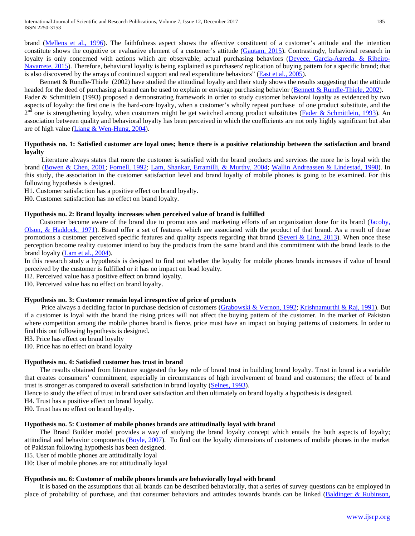brand (Mellens et al., 1996). The faithfulness aspect shows the affective constituent of a customer's attitude and the intention constitute shows the cognitive or evaluative element of a customer's attitude (Gautam, 2015). Contrastingly, behavioral research in loyalty is only concerned with actions which are observable; actual purchasing behaviors (Devece, Garcia-Agreda, & Ribeiro-Navarrete, 2015). Therefore, behavioral loyalty is being explained as purchasers' replication of buying pattern for a specific brand; that is also discovered by the arrays of continued support and real expenditure behaviors" (East et al., 2005).

 Bennett & Rundle-Thiele (2002) have studied the attitudinal loyalty and their study shows the results suggesting that the attitude headed for the deed of purchasing a brand can be used to explain or envisage purchasing behavior (Bennett & Rundle-Thiele, 2002). Fader & Schmittlein (1993) proposed a demonstrating framework in order to study customer behavioral loyalty as evidenced by two

aspects of loyalty: the first one is the hard-core loyalty, when a customer's wholly repeat purchase of one product substitute, and the  $2<sup>nd</sup>$  one is strengthening loyalty, when customers might be get switched among product substitutes (Fader & Schmittlein, 1993). An association between quality and behavioral loyalty has been perceived in which the coefficients are not only highly significant but also are of high value (Liang & Wen-Hung, 2004).

# **Hypothesis no. 1: Satisfied customer are loyal ones; hence there is a positive relationship between the satisfaction and brand loyalty**

 Literature always states that more the customer is satisfied with the brand products and services the more he is loyal with the brand (Bowen & Chen, 2001; Fornell, 1992; Lam, Shankar, Erramilli, & Murthy, 2004; Wallin Andreassen & Lindestad, 1998). In this study, the association in the customer satisfaction level and brand loyalty of mobile phones is going to be examined. For this following hypothesis is designed.

H1. Customer satisfaction has a positive effect on brand loyalty.

H0. Customer satisfaction has no effect on brand loyalty.

#### **Hypothesis no. 2: Brand loyalty increases when perceived value of brand is fulfilled**

 Customer become aware of the brand due to promotions and marketing efforts of an organization done for its brand (Jacoby, Olson, & Haddock, 1971). Brand offer a set of features which are associated with the product of that brand. As a result of these promotions a customer perceived specific features and quality aspects regarding that brand (Severi  $& Ling, 2013$ ). When once these perception become reality customer intend to buy the products from the same brand and this commitment with the brand leads to the brand loyalty (Lam et al., 2004).

In this research study a hypothesis is designed to find out whether the loyalty for mobile phones brands increases if value of brand perceived by the customer is fulfilled or it has no impact on brad loyalty.

H2. Perceived value has a positive effect on brand loyalty.

H0. Perceived value has no effect on brand loyalty.

#### **Hypothesis no. 3: Customer remain loyal irrespective of price of products**

Price always a deciding factor in purchase decision of customers (Grabowski & Vernon, 1992; Krishnamurthi & Raj, 1991). But if a customer is loyal with the brand the rising prices will not affect the buying pattern of the customer. In the market of Pakistan where competition among the mobile phones brand is fierce, price must have an impact on buying patterns of customers. In order to find this out following hypothesis is designed.

H3. Price has effect on brand loyalty

H0. Price has no effect on brand loyalty

#### **Hypothesis no. 4: Satisfied customer has trust in brand**

 The results obtained from literature suggested the key role of brand trust in building brand loyalty. Trust in brand is a variable that creates consumers' commitment, especially in circumstances of high involvement of brand and customers; the effect of brand trust is stronger as compared to overall satisfaction in brand loyalty (Selnes, 1993).

Hence to study the effect of trust in brand over satisfaction and then ultimately on brand loyalty a hypothesis is designed.

H4. Trust has a positive effect on brand loyalty.

H0. Trust has no effect on brand loyalty.

# **Hypothesis no. 5: Customer of mobile phones brands are attitudinally loyal with brand**

 The Brand Builder model provides a way of studying the brand loyalty concept which entails the both aspects of loyalty; attitudinal and behavior components (Boyle, 2007). To find out the loyalty dimensions of customers of mobile phones in the market of Pakistan following hypothesis has been designed.

H5. User of mobile phones are attitudinally loyal

H0: User of mobile phones are not attitudinally loyal

#### **Hypothesis no. 6: Customer of mobile phones brands are behaviorally loyal with brand**

 It is based on the assumptions that all brands can be described behaviorally, that a series of survey questions can be employed in place of probability of purchase, and that consumer behaviors and attitudes towards brands can be linked (Baldinger & Rubinson,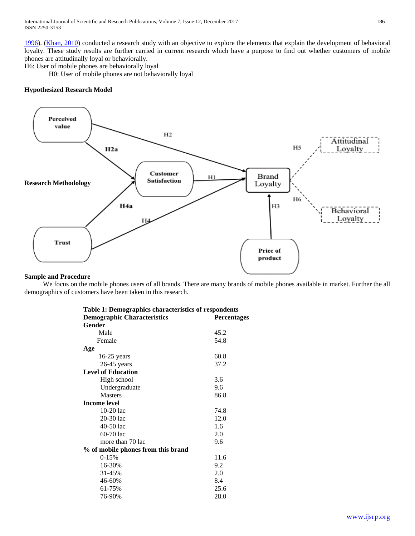1996). (Khan, 2010) conducted a research study with an objective to explore the elements that explain the development of behavioral loyalty. These study results are further carried in current research which have a purpose to find out whether customers of mobile phones are attitudinally loyal or behaviorally.

H6: User of mobile phones are behaviorally loyal

H0: User of mobile phones are not behaviorally loyal

# **Hypothesized Research Model**



#### **Sample and Procedure**

 We focus on the mobile phones users of all brands. There are many brands of mobile phones available in market. Further the all demographics of customers have been taken in this research.

| Table 1: Demographics characteristics of respondents |             |
|------------------------------------------------------|-------------|
| <b>Demographic Characteristics</b>                   | Percentages |
| <b>Gender</b>                                        |             |
| Male                                                 | 45.2        |
| Female                                               | 54.8        |
| Age                                                  |             |
| $16-25$ years                                        | 60.8        |
| $26-45$ years                                        | 37.2        |
| <b>Level of Education</b>                            |             |
| High school                                          | 3.6         |
| Undergraduate                                        | 9.6         |
| <b>Masters</b>                                       | 86.8        |
| <b>Income level</b>                                  |             |
| $10-20$ lac                                          | 74.8        |
| 20-30 lac                                            | 12.0        |
| 40-50 lac                                            | 1.6         |
| 60-70 lac                                            | 2.0         |
| more than 70 lac                                     | 9.6         |
| % of mobile phones from this brand                   |             |
| $0 - 15%$                                            | 11.6        |
| 16-30%                                               | 9.2         |
| 31-45%                                               | 2.0         |
| 46-60%                                               | 8.4         |
| 61-75%                                               | 25.6        |
| 76-90%                                               | 28.0        |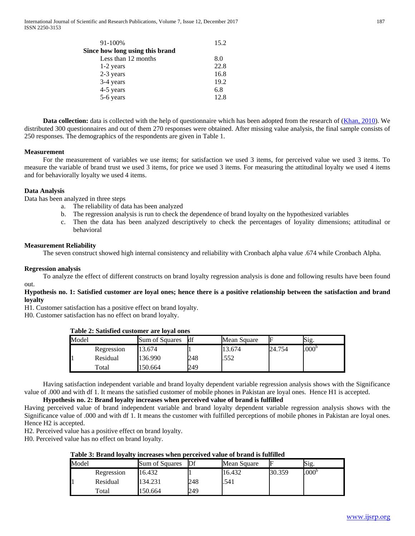| 91-100%                         | 15.2 |
|---------------------------------|------|
| Since how long using this brand |      |
| Less than 12 months             | 8.0  |
| 1-2 years                       | 22.8 |
| 2-3 years                       | 16.8 |
| 3-4 years                       | 19.2 |
| 4-5 years                       | 6.8  |
| 5-6 years                       | 12.8 |

**Data collection:** data is collected with the help of questionnaire which has been adopted from the research of (Khan, 2010). We distributed 300 questionnaires and out of them 270 responses were obtained. After missing value analysis, the final sample consists of 250 responses. The demographics of the respondents are given in Table 1.

#### **Measurement**

 For the measurement of variables we use items; for satisfaction we used 3 items, for perceived value we used 3 items. To measure the variable of brand trust we used 3 items, for price we used 3 items. For measuring the attitudinal loyalty we used 4 items and for behaviorally loyalty we used 4 items.

#### **Data Analysis**

Data has been analyzed in three steps

- a. The reliability of data has been analyzed
- b. The regression analysis is run to check the dependence of brand loyalty on the hypothesized variables
- c. Then the data has been analyzed descriptively to check the percentages of loyality dimensions; attitudinal or behavioral

#### **Measurement Reliability**

The seven construct showed high internal consistency and reliability with Cronbach alpha value .674 while Cronbach Alpha.

#### **Regression analysis**

 To analyze the effect of different constructs on brand loyalty regression analysis is done and following results have been found out.

### **Hypothesis no. 1: Satisfied customer are loyal ones; hence there is a positive relationship between the satisfaction and brand loyalty**

H1. Customer satisfaction has a positive effect on brand loyalty.

H0. Customer satisfaction has no effect on brand loyalty.

| Table 2: Satisfied customer are loyal ones |            |                       |     |             |        |                  |  |  |  |
|--------------------------------------------|------------|-----------------------|-----|-------------|--------|------------------|--|--|--|
| Model                                      |            | <b>Sum of Squares</b> | ldf | Mean Square |        | Sig.             |  |  |  |
|                                            | Regression | 13.674                |     | 13.674      | 24.754 | 000 <sup>b</sup> |  |  |  |
|                                            | Residual   | 136.990               | 248 | .552        |        |                  |  |  |  |

 Having satisfaction independent variable and brand loyalty dependent variable regression analysis shows with the Significance value of .000 and with df 1. It means the satisfied customer of mobile phones in Pakistan are loyal ones. Hence H1 is accepted.

# **Hypothesis no. 2: Brand loyalty increases when perceived value of brand is fulfilled**

Total 150.664 249

Having perceived value of brand independent variable and brand loyalty dependent variable regression analysis shows with the Significance value of .000 and with df 1. It means the customer with fulfilled perceptions of mobile phones in Pakistan are loyal ones. Hence H2 is accepted.

H2. Perceived value has a positive effect on brand loyalty.

H0. Perceived value has no effect on brand loyalty.

#### **Table 3: Brand loyalty increases when perceived value of brand is fulfilled**

| Model |                        | Sum of Squares | Df  | Mean Square |        | Sig.             |
|-------|------------------------|----------------|-----|-------------|--------|------------------|
|       | Regression             | 16.432         |     | 16.432      | 30.359 | 000 <sup>b</sup> |
|       | Residual               | 134.231        | 248 | .541        |        |                  |
|       | $\tau$ <sub>otal</sub> | 150.664        | 249 |             |        |                  |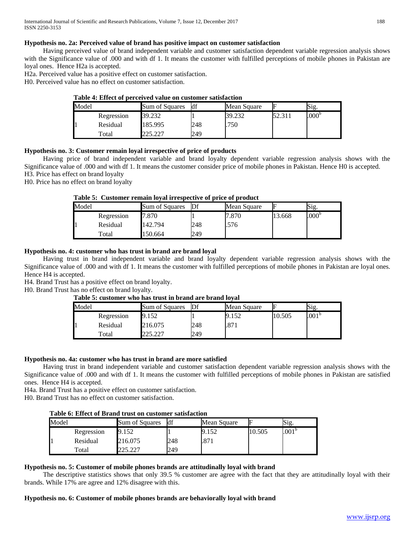# **Hypothesis no. 2a: Perceived value of brand has positive impact on customer satisfaction**

 Having perceived value of brand independent variable and customer satisfaction dependent variable regression analysis shows with the Significance value of .000 and with df 1. It means the customer with fulfilled perceptions of mobile phones in Pakistan are loyal ones. Hence H2a is accepted.

H2a. Perceived value has a positive effect on customer satisfaction.

H0. Perceived value has no effect on customer satisfaction.

|       |            | Table +. Effect of befectived value on customer sausiaction |     |             |        | Sig.<br>000 <sup>t</sup> |
|-------|------------|-------------------------------------------------------------|-----|-------------|--------|--------------------------|
| Model |            | Sum of Squares                                              | ldf | Mean Square |        |                          |
|       | Regression | 39.232                                                      |     | 39.232      | 52.311 |                          |
|       | Residual   | 185.995                                                     | 248 | .750        |        |                          |
|       | Total      |                                                             | 249 |             |        |                          |

# **Table 4: Effect of perceived value on customer satisfaction**

# **Hypothesis no. 3: Customer remain loyal irrespective of price of products**

 Having price of brand independent variable and brand loyalty dependent variable regression analysis shows with the Significance value of .000 and with df 1. It means the customer consider price of mobile phones in Pakistan. Hence H0 is accepted. H3. Price has effect on brand loyalty

H0. Price has no effect on brand loyalty

# **Table 5: Customer remain loyal irrespective of price of product**

| Model |            | Sum of Squares | $\mathbb{D}$ f | Mean Square | F      | Sig.           |
|-------|------------|----------------|----------------|-------------|--------|----------------|
|       | Regression | 7.870          |                | 7.870       | 13.668 | $.000^{\circ}$ |
|       | Residual   | 142.794        | 248            | .576        |        |                |
|       | Total      | 150.664        | 249            |             |        |                |

# **Hypothesis no. 4: customer who has trust in brand are brand loyal**

 Having trust in brand independent variable and brand loyalty dependent variable regression analysis shows with the Significance value of .000 and with df 1. It means the customer with fulfilled perceptions of mobile phones in Pakistan are loyal ones. Hence H4 is accepted.

H4. Brand Trust has a positive effect on brand loyalty.

H0. Brand Trust has no effect on brand loyalty.

#### **Table 5: customer who has trust in brand are brand loyal**

| Model |            | Sum of Squares | Df  | Mean Square | ⊩      | Sig.              |  |
|-------|------------|----------------|-----|-------------|--------|-------------------|--|
|       | Regression | 9.152          |     |             | 10.505 | .001 <sup>b</sup> |  |
|       | Residual   | 216.075        | 248 | .871        |        |                   |  |
|       | Total      | רמפ פחמ        | 249 |             |        |                   |  |

# **Hypothesis no. 4a: customer who has trust in brand are more satisfied**

 Having trust in brand independent variable and customer satisfaction dependent variable regression analysis shows with the Significance value of .000 and with df 1. It means the customer with fulfilled perceptions of mobile phones in Pakistan are satisfied ones. Hence H4 is accepted.

H4a. Brand Trust has a positive effect on customer satisfaction.

H0. Brand Trust has no effect on customer satisfaction.

# **Table 6: Effect of Brand trust on customer satisfaction**

| Model |            | Sum of Squares | df  | Mean Square | ⊩      | Sig.              |
|-------|------------|----------------|-----|-------------|--------|-------------------|
|       | Regression | 9.152          |     | 9.152       | 10.505 | .001 <sup>b</sup> |
|       | Residual   | 216.075        | 248 | .871        |        |                   |
| Total |            | つつよ つつつ        | 249 |             |        |                   |

# **Hypothesis no. 5: Customer of mobile phones brands are attitudinally loyal with brand**

 The descriptive statistics shows that only 39.5 % customer are agree with the fact that they are attitudinally loyal with their brands. While 17% are agree and 12% disagree with this.

#### **Hypothesis no. 6: Customer of mobile phones brands are behaviorally loyal with brand**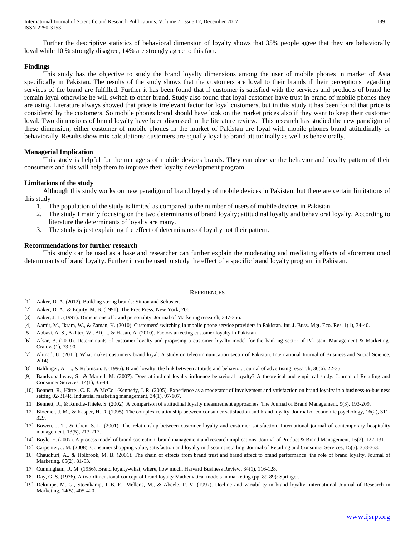Further the descriptive statistics of behavioral dimension of loyalty shows that 35% people agree that they are behaviorally loyal while 10 % strongly disagree, 14% are strongly agree to this fact.

#### **Findings**

 This study has the objective to study the brand loyalty dimensions among the user of mobile phones in market of Asia specifically in Pakistan. The results of the study shows that the customers are loyal to their brands if their perceptions regarding services of the brand are fulfilled. Further it has been found that if customer is satisfied with the services and products of brand he remain loyal otherwise he will switch to other brand. Study also found that loyal customer have trust in brand of mobile phones they are using. Literature always showed that price is irrelevant factor for loyal customers, but in this study it has been found that price is considered by the customers. So mobile phones brand should have look on the market prices also if they want to keep their customer loyal. Two dimensions of brand loyalty have been discussed in the literature review. This research has studied the new paradigm of these dimension; either customer of mobile phones in the market of Pakistan are loyal with mobile phones brand attitudinally or behaviorally. Results show mix calculations; customers are equally loyal to brand attitudinally as well as behaviorally.

#### **Managerial Implication**

 This study is helpful for the managers of mobile devices brands. They can observe the behavior and loyalty pattern of their consumers and this will help them to improve their loyalty development program.

#### **Limitations of the study**

 Although this study works on new paradigm of brand loyalty of mobile devices in Pakistan, but there are certain limitations of this study

- 1. The population of the study is limited as compared to the number of users of mobile devices in Pakistan
- 2. The study I mainly focusing on the two determinants of brand loyalty; attitudinal loyalty and behavioral loyalty. According to literature the determinants of loyalty are many.
- 3. The study is just explaining the effect of determinants of loyalty not their pattern.

#### **Recommendations for further research**

 This study can be used as a base and researcher can further explain the moderating and mediating effects of aforementioned determinants of brand loyalty. Further it can be used to study the effect of a specific brand loyalty program in Pakistan.

#### **REFERENCES**

- [1] Aaker, D. A. (2012). Building strong brands: Simon and Schuster.
- [2] Aaker, D. A., & Equity, M. B. (1991). The Free Press. New York, 206.
- [3] Aaker, J. L. (1997). Dimensions of brand personality. Journal of Marketing research, 347-356.
- [4] Aamir, M., Ikram, W., & Zaman, K. (2010). Customers' switching in mobile phone service providers in Pakistan. Int. J. Buss. Mgt. Eco. Res, 1(1), 34-40.
- [5] Abbasi, A. S., Akhter, W., Ali, I., & Hasan, A. (2010). Factors affecting customer loyalty in Pakistan.
- [6] Afsar, B. (2010). Determinants of customer loyalty and proposing a customer loyalty model for the banking sector of Pakistan. Management & Marketing-Craiova(1), 73-90.
- [7] Ahmad, U. (2011). What makes customers brand loyal: A study on telecommunication sector of Pakistan. International Journal of Business and Social Science, 2(14).
- [8] Baldinger, A. L., & Rubinson, J. (1996). Brand loyalty: the link between attitude and behavior. Journal of advertising research, 36(6), 22-35.
- [9] Bandyopadhyay, S., & Martell, M. (2007). Does attitudinal loyalty influence behavioral loyalty? A theoretical and empirical study. Journal of Retailing and Consumer Services, 14(1), 35-44.
- [10] Bennett, R., Härtel, C. E., & McColl-Kennedy, J. R. (2005). Experience as a moderator of involvement and satisfaction on brand loyalty in a business-to-business setting 02-314R. Industrial marketing management, 34(1), 97-107.
- [11] Bennett, R., & Rundle-Thiele, S. (2002). A comparison of attitudinal loyalty measurement approaches. The Journal of Brand Management, 9(3), 193-209.
- [12] Bloemer, J. M., & Kasper, H. D. (1995). The complex relationship between consumer satisfaction and brand loyalty. Journal of economic psychology, 16(2), 311-329.
- [13] Bowen, J. T., & Chen, S.-L. (2001). The relationship between customer loyalty and customer satisfaction. International journal of contemporary hospitality management, 13(5), 213-217.
- [14] Boyle, E. (2007). A process model of brand cocreation: brand management and research implications. Journal of Product & Brand Management, 16(2), 122-131.
- [15] Carpenter, J. M. (2008). Consumer shopping value, satisfaction and loyalty in discount retailing. Journal of Retailing and Consumer Services, 15(5), 358-363.
- [16] Chaudhuri, A., & Holbrook, M. B. (2001). The chain of effects from brand trust and brand affect to brand performance: the role of brand loyalty. Journal of Marketing, 65(2), 81-93.
- [17] Cunningham, R. M. (1956). Brand loyalty-what, where, how much. Harvard Business Review, 34(1), 116-128.
- [18] Day, G. S. (1976). A two-dimensional concept of brand loyalty Mathematical models in marketing (pp. 89-89): Springer.
- [19] Dekimpe, M. G., Steenkamp, J.-B. E., Mellens, M., & Abeele, P. V. (1997). Decline and variability in brand loyalty. international Journal of Research in Marketing, 14(5), 405-420.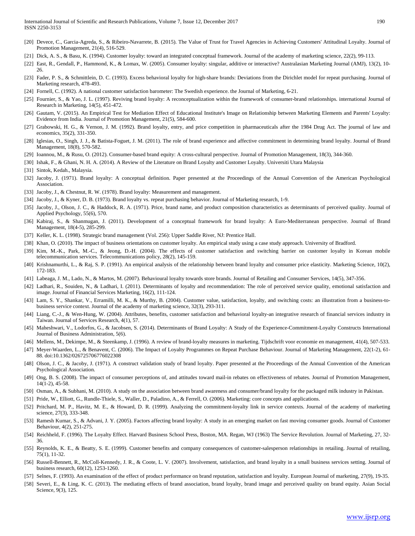- [20] Devece, C., Garcia-Agreda, S., & Ribeiro-Navarrete, B. (2015). The Value of Trust for Travel Agencies in Achieving Customers' Attitudinal Loyalty. Journal of Promotion Management, 21(4), 516-529.
- [21] Dick, A. S., & Basu, K. (1994). Customer loyalty: toward an integrated conceptual framework. Journal of the academy of marketing science, 22(2), 99-113.
- [22] East, R., Gendall, P., Hammond, K., & Lomax, W. (2005). Consumer loyalty: singular, additive or interactive? Australasian Marketing Journal (AMJ), 13(2), 10- 26.
- [23] Fader, P. S., & Schmittlein, D. C. (1993). Excess behavioral loyalty for high-share brands: Deviations from the Dirichlet model for repeat purchasing. Journal of Marketing research, 478-493.
- [24] Fornell, C. (1992). A national customer satisfaction barometer: The Swedish experience. the Journal of Marketing, 6-21.
- [25] Fournier, S., & Yao, J. L. (1997). Reviving brand loyalty: A reconceptualization within the framework of consumer-brand relationships. international Journal of Research in Marketing, 14(5), 451-472.
- [26] Gautam, V. (2015). An Empirical Test for Mediation Effect of Educational Institute's Image on Relationship between Marketing Elements and Parents' Loyalty: Evidence from India. Journal of Promotion Management, 21(5), 584-600.
- [27] Grabowski, H. G., & Vernon, J. M. (1992). Brand loyalty, entry, and price competition in pharmaceuticals after the 1984 Drug Act. The journal of law and economics, 35(2), 331-350.
- [28] Iglesias, O., Singh, J. J., & Batista-Foguet, J. M. (2011). The role of brand experience and affective commitment in determining brand loyalty. Journal of Brand Management, 18(8), 570-582.
- [29] Ioannou, M., & Rusu, O. (2012). Consumer-based brand equity: A cross-cultural perspective. Journal of Promotion Management, 18(3), 344-360.
- [30] Ishak, F., & Ghani, N. H. A. (2014). A Review of the Literature on Brand Loyalty and Customer Loyalty. Universiti Utara Malaysia
- [31] Sintok, Kedah., Malaysia.
- [32] Jacoby, J. (1971). Brand loyalty: A conceptual definition. Paper presented at the Proceedings of the Annual Convention of the American Psychological Association.
- [33] Jacoby, J., & Chestnut, R. W. (1978). Brand loyalty: Measurement and management.
- [34] Jacoby, J., & Kyner, D. B. (1973). Brand loyalty vs. repeat purchasing behavior. Journal of Marketing research, 1-9.
- [35] Jacoby, J., Olson, J. C., & Haddock, R. A. (1971). Price, brand name, and product composition characteristics as determinants of perceived quality. Journal of Applied Psychology, 55(6), 570.
- [36] Kabiraj, S., & Shanmugan, J. (2011). Development of a conceptual framework for brand loyalty: A Euro-Mediterranean perspective. Journal of Brand Management, 18(4-5), 285-299.
- [37] Keller, K. L. (1998). Strategic brand management (Vol. 256): Upper Saddle River, NJ: Prentice Hall.
- [38] Khan, O. (2010). The impact of business orientations on customer loyalty. An empirical study using a case study approach. University of Bradford.
- [39] Kim, M.-K., Park, M.-C., & Jeong, D.-H. (2004). The effects of customer satisfaction and switching barrier on customer loyalty in Korean mobile telecommunication services. Telecommunications policy, 28(2), 145-159.
- [40] Krishnamurthi, L., & Raj, S. P. (1991). An empirical analysis of the relationship between brand loyalty and consumer price elasticity. Marketing Science, 10(2), 172-183.
- [41] Labeaga, J. M., Lado, N., & Martos, M. (2007). Behavioural loyalty towards store brands. Journal of Retailing and Consumer Services, 14(5), 347-356.
- [42] Ladhari, R., Souiden, N., & Ladhari, I. (2011). Determinants of loyalty and recommendation: The role of perceived service quality, emotional satisfaction and image. Journal of Financial Services Marketing, 16(2), 111-124.
- [43] Lam, S. Y., Shankar, V., Erramilli, M. K., & Murthy, B. (2004). Customer value, satisfaction, loyalty, and switching costs: an illustration from a business-tobusiness service context. Journal of the academy of marketing science, 32(3), 293-311.
- [44] Liang, C.-J., & Wen-Hung, W. (2004). Attributes, benefits, customer satisfaction and behavioral loyalty-an integrative research of financial services industry in Taiwan. Journal of Services Research, 4(1), 57.
- [45] Maheshwari, V., Lodorfos, G., & Jacobsen, S. (2014). Determinants of Brand Loyalty: A Study of the Experience-Commitment-Loyalty Constructs International Journal of Business Administration, 5(6).
- [46] Mellens, M., Dekimpe, M., & Steenkamp, J. (1996). A review of brand-loyalty measures in marketing. Tijdschrift voor economie en management, 41(4), 507-533.
- [47] Meyer-Waarden, L., & Benavent, C. (2006). The Impact of Loyalty Programmes on Repeat Purchase Behaviour. Journal of Marketing Management, 22(1-2), 61- 88. doi:10.1362/026725706776022308
- [48] Olson, J. C., & Jacoby, J. (1971). A construct validation study of brand loyalty. Paper presented at the Proceedings of the Annual Convention of the American Psychological Association.
- [49] Ong, B. S. (2008). The impact of consumer perceptions of, and attitudes toward mail-in rebates on effectiveness of rebates. Journal of Promotion Management, 14(1-2), 45-58.
- [50] Osman, A., & Subhani, M. (2010). A study on the association between brand awareness and consumer/brand loyalty for the packaged milk industry in Pakistan.
- [51] Pride, W., Elliott, G., Rundle-Thiele, S., Waller, D., Paladino, A., & Ferrell, O. (2006). Marketing: core concepts and applications.
- [52] Pritchard, M. P., Havitz, M. E., & Howard, D. R. (1999). Analyzing the commitment-loyalty link in service contexts. Journal of the academy of marketing science, 27(3), 333-348.
- [53] Ramesh Kumar, S., & Advani, J. Y. (2005). Factors affecting brand loyalty: A study in an emerging market on fast moving consumer goods. Journal of Customer Behaviour, 4(2), 251-275.
- [54] Reichheld, F. (1996). The Loyalty Effect. Harvard Business School Press, Boston, MA. Regan, WJ (1963) The Service Revolution. Journal of Marketing, 27, 32- 36.
- [55] Reynolds, K. E., & Beatty, S. E. (1999). Customer benefits and company consequences of customer-salesperson relationships in retailing. Journal of retailing, 75(1), 11-32.
- [56] Russell-Bennett, R., McColl-Kennedy, J. R., & Coote, L. V. (2007). Involvement, satisfaction, and brand loyalty in a small business services setting. Journal of business research, 60(12), 1253-1260.
- [57] Selnes, F. (1993). An examination of the effect of product performance on brand reputation, satisfaction and loyalty. European Journal of marketing, 27(9), 19-35.
- [58] Severi, E., & Ling, K. C. (2013). The mediating effects of brand association, brand loyalty, brand image and perceived quality on brand equity. Asian Social Science, 9(3), 125.